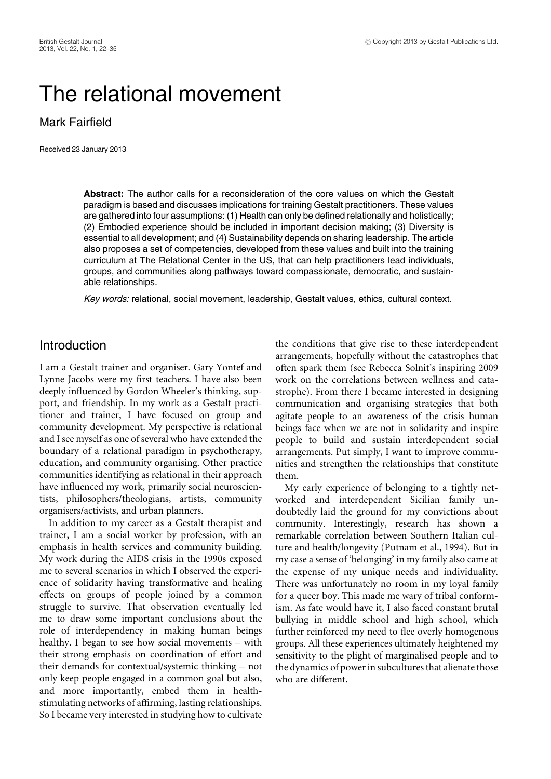# The relational movement

## Mark Fairfield

Received 23 January 2013

**Abstract:** The author calls for a reconsideration of the core values on which the Gestalt paradigm is based and discusses implications for training Gestalt practitioners. These values are gathered into four assumptions: (1) Health can only be defined relationally and holistically; (2) Embodied experience should be included in important decision making; (3) Diversity is essential to all development; and (4) Sustainability depends on sharing leadership. The article also proposes a set of competencies, developed from these values and built into the training curriculum at The Relational Center in the US, that can help practitioners lead individuals, groups, and communities along pathways toward compassionate, democratic, and sustainable relationships.

Key words: relational, social movement, leadership, Gestalt values, ethics, cultural context.

## Introduction

I am a Gestalt trainer and organiser. Gary Yontef and Lynne Jacobs were my first teachers. I have also been deeply influenced by Gordon Wheeler's thinking, support, and friendship. In my work as a Gestalt practitioner and trainer, I have focused on group and community development. My perspective is relational and I see myself as one of several who have extended the boundary of a relational paradigm in psychotherapy, education, and community organising. Other practice communities identifying as relational in their approach have influenced my work, primarily social neuroscientists, philosophers/theologians, artists, community organisers/activists, and urban planners.

In addition to my career as a Gestalt therapist and trainer, I am a social worker by profession, with an emphasis in health services and community building. My work during the AIDS crisis in the 1990s exposed me to several scenarios in which I observed the experience of solidarity having transformative and healing effects on groups of people joined by a common struggle to survive. That observation eventually led me to draw some important conclusions about the role of interdependency in making human beings healthy. I began to see how social movements – with their strong emphasis on coordination of effort and their demands for contextual/systemic thinking – not only keep people engaged in a common goal but also, and more importantly, embed them in healthstimulating networks of affirming, lasting relationships. So I became very interested in studying how to cultivate the conditions that give rise to these interdependent arrangements, hopefully without the catastrophes that often spark them (see Rebecca Solnit's inspiring 2009 work on the correlations between wellness and catastrophe). From there I became interested in designing communication and organising strategies that both agitate people to an awareness of the crisis human beings face when we are not in solidarity and inspire people to build and sustain interdependent social arrangements. Put simply, I want to improve communities and strengthen the relationships that constitute them.

My early experience of belonging to a tightly networked and interdependent Sicilian family undoubtedly laid the ground for my convictions about community. Interestingly, research has shown a remarkable correlation between Southern Italian culture and health/longevity (Putnam et al., 1994). But in my case a sense of 'belonging' in my family also came at the expense of my unique needs and individuality. There was unfortunately no room in my loyal family for a queer boy. This made me wary of tribal conformism. As fate would have it, I also faced constant brutal bullying in middle school and high school, which further reinforced my need to flee overly homogenous groups. All these experiences ultimately heightened my sensitivity to the plight of marginalised people and to the dynamics of power in subcultures that alienate those who are different.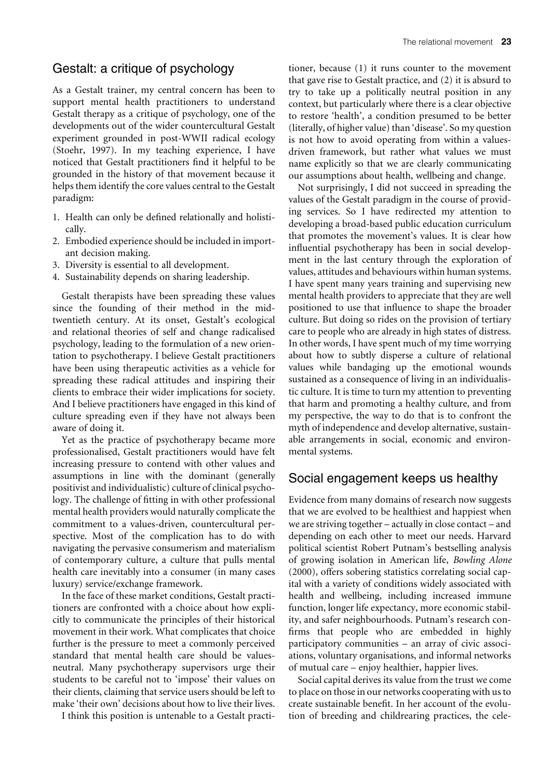## Gestalt: a critique of psychology

As a Gestalt trainer, my central concern has been to support mental health practitioners to understand Gestalt therapy as a critique of psychology, one of the developments out of the wider countercultural Gestalt experiment grounded in post-WWII radical ecology (Stoehr, 1997). In my teaching experience, I have noticed that Gestalt practitioners find it helpful to be grounded in the history of that movement because it helps them identify the core values central to the Gestalt paradigm:

- 1. Health can only be defined relationally and holistically.
- 2. Embodied experience should be included in important decision making.
- 3. Diversity is essential to all development.
- 4. Sustainability depends on sharing leadership.

Gestalt therapists have been spreading these values since the founding of their method in the midtwentieth century. At its onset, Gestalt's ecological and relational theories of self and change radicalised psychology, leading to the formulation of a new orientation to psychotherapy. I believe Gestalt practitioners have been using therapeutic activities as a vehicle for spreading these radical attitudes and inspiring their clients to embrace their wider implications for society. And I believe practitioners have engaged in this kind of culture spreading even if they have not always been aware of doing it.

Yet as the practice of psychotherapy became more professionalised, Gestalt practitioners would have felt increasing pressure to contend with other values and assumptions in line with the dominant (generally positivist and individualistic) culture of clinical psychology. The challenge of fitting in with other professional mental health providers would naturally complicate the commitment to a values-driven, countercultural perspective. Most of the complication has to do with navigating the pervasive consumerism and materialism of contemporary culture, a culture that pulls mental health care inevitably into a consumer (in many cases luxury) service/exchange framework.

In the face of these market conditions, Gestalt practitioners are confronted with a choice about how explicitly to communicate the principles of their historical movement in their work. What complicates that choice further is the pressure to meet a commonly perceived standard that mental health care should be valuesneutral. Many psychotherapy supervisors urge their students to be careful not to 'impose' their values on their clients, claiming that service users should be left to make 'their own' decisions about how to live their lives.

I think this position is untenable to a Gestalt practi-

tioner, because (1) it runs counter to the movement that gave rise to Gestalt practice, and (2) it is absurd to try to take up a politically neutral position in any context, but particularly where there is a clear objective to restore 'health', a condition presumed to be better (literally, of higher value) than 'disease'. So my question is not how to avoid operating from within a valuesdriven framework, but rather what values we must name explicitly so that we are clearly communicating our assumptions about health, wellbeing and change.

Not surprisingly, I did not succeed in spreading the values of the Gestalt paradigm in the course of providing services. So I have redirected my attention to developing a broad-based public education curriculum that promotes the movement's values. It is clear how influential psychotherapy has been in social development in the last century through the exploration of values, attitudes and behaviours within human systems. I have spent many years training and supervising new mental health providers to appreciate that they are well positioned to use that influence to shape the broader culture. But doing so rides on the provision of tertiary care to people who are already in high states of distress. In other words, I have spent much of my time worrying about how to subtly disperse a culture of relational values while bandaging up the emotional wounds sustained as a consequence of living in an individualistic culture. It is time to turn my attention to preventing that harm and promoting a healthy culture, and from my perspective, the way to do that is to confront the myth of independence and develop alternative, sustainable arrangements in social, economic and environmental systems.

# Social engagement keeps us healthy

Evidence from many domains of research now suggests that we are evolved to be healthiest and happiest when we are striving together – actually in close contact – and depending on each other to meet our needs. Harvard political scientist Robert Putnam's bestselling analysis of growing isolation in American life, *Bowling Alone* (2000)*,* offers sobering statistics correlating social capital with a variety of conditions widely associated with health and wellbeing, including increased immune function, longer life expectancy, more economic stability, and safer neighbourhoods. Putnam's research confirms that people who are embedded in highly participatory communities – an array of civic associations, voluntary organisations, and informal networks of mutual care – enjoy healthier, happier lives.

Social capital derives its value from the trust we come to place on those in our networks cooperating with us to create sustainable benefit. In her account of the evolution of breeding and childrearing practices, the cele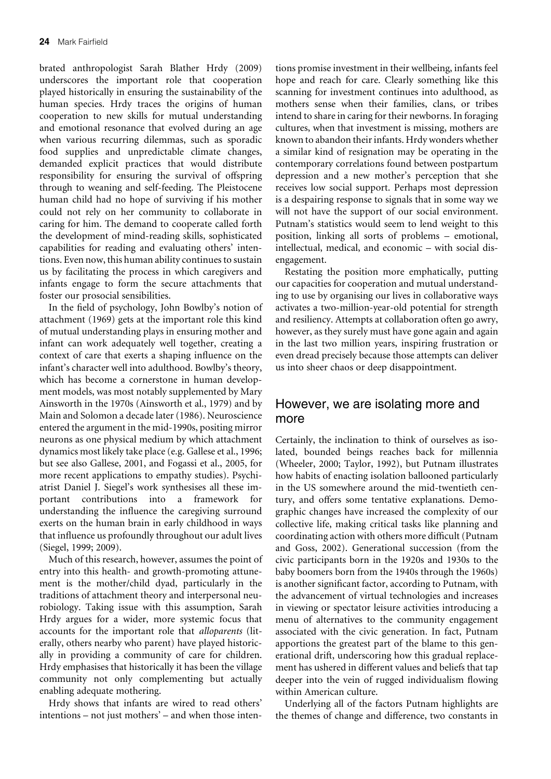brated anthropologist Sarah Blather Hrdy (2009) underscores the important role that cooperation played historically in ensuring the sustainability of the human species. Hrdy traces the origins of human cooperation to new skills for mutual understanding and emotional resonance that evolved during an age when various recurring dilemmas, such as sporadic food supplies and unpredictable climate changes, demanded explicit practices that would distribute responsibility for ensuring the survival of offspring through to weaning and self-feeding. The Pleistocene human child had no hope of surviving if his mother could not rely on her community to collaborate in caring for him. The demand to cooperate called forth the development of mind-reading skills, sophisticated capabilities for reading and evaluating others' intentions. Even now, this human ability continues to sustain us by facilitating the process in which caregivers and infants engage to form the secure attachments that foster our prosocial sensibilities.

In the field of psychology, John Bowlby's notion of attachment (1969) gets at the important role this kind of mutual understanding plays in ensuring mother and infant can work adequately well together, creating a context of care that exerts a shaping influence on the infant's character well into adulthood. Bowlby's theory, which has become a cornerstone in human development models, was most notably supplemented by Mary Ainsworth in the 1970s (Ainsworth et al., 1979) and by Main and Solomon a decade later (1986). Neuroscience entered the argument in the mid-1990s, positing mirror neurons as one physical medium by which attachment dynamics most likely take place (e.g. Gallese et al., 1996; but see also Gallese, 2001, and Fogassi et al., 2005, for more recent applications to empathy studies). Psychiatrist Daniel J. Siegel's work synthesises all these important contributions into a framework for understanding the influence the caregiving surround exerts on the human brain in early childhood in ways that influence us profoundly throughout our adult lives (Siegel, 1999; 2009).

Much of this research, however, assumes the point of entry into this health- and growth-promoting attunement is the mother/child dyad, particularly in the traditions of attachment theory and interpersonal neurobiology. Taking issue with this assumption, Sarah Hrdy argues for a wider, more systemic focus that accounts for the important role that *alloparents* (literally, others nearby who parent) have played historically in providing a community of care for children. Hrdy emphasises that historically it has been the village community not only complementing but actually enabling adequate mothering.

Hrdy shows that infants are wired to read others' intentions – not just mothers' – and when those intentions promise investment in their wellbeing, infants feel hope and reach for care. Clearly something like this scanning for investment continues into adulthood, as mothers sense when their families, clans, or tribes intend to share in caring for their newborns. In foraging cultures, when that investment is missing, mothers are known to abandon their infants. Hrdy wonders whether a similar kind of resignation may be operating in the contemporary correlations found between postpartum depression and a new mother's perception that she receives low social support. Perhaps most depression is a despairing response to signals that in some way we will not have the support of our social environment. Putnam's statistics would seem to lend weight to this position, linking all sorts of problems – emotional, intellectual, medical, and economic – with social disengagement.

Restating the position more emphatically, putting our capacities for cooperation and mutual understanding to use by organising our lives in collaborative ways activates a two-million-year-old potential for strength and resiliency. Attempts at collaboration often go awry, however, as they surely must have gone again and again in the last two million years, inspiring frustration or even dread precisely because those attempts can deliver us into sheer chaos or deep disappointment.

## However, we are isolating more and more

Certainly, the inclination to think of ourselves as isolated, bounded beings reaches back for millennia (Wheeler, 2000; Taylor, 1992), but Putnam illustrates how habits of enacting isolation ballooned particularly in the US somewhere around the mid-twentieth century, and offers some tentative explanations. Demographic changes have increased the complexity of our collective life, making critical tasks like planning and coordinating action with others more difficult (Putnam and Goss, 2002). Generational succession (from the civic participants born in the 1920s and 1930s to the baby boomers born from the 1940s through the 1960s) is another significant factor, according to Putnam, with the advancement of virtual technologies and increases in viewing or spectator leisure activities introducing a menu of alternatives to the community engagement associated with the civic generation. In fact, Putnam apportions the greatest part of the blame to this generational drift, underscoring how this gradual replacement has ushered in different values and beliefs that tap deeper into the vein of rugged individualism flowing within American culture.

Underlying all of the factors Putnam highlights are the themes of change and difference, two constants in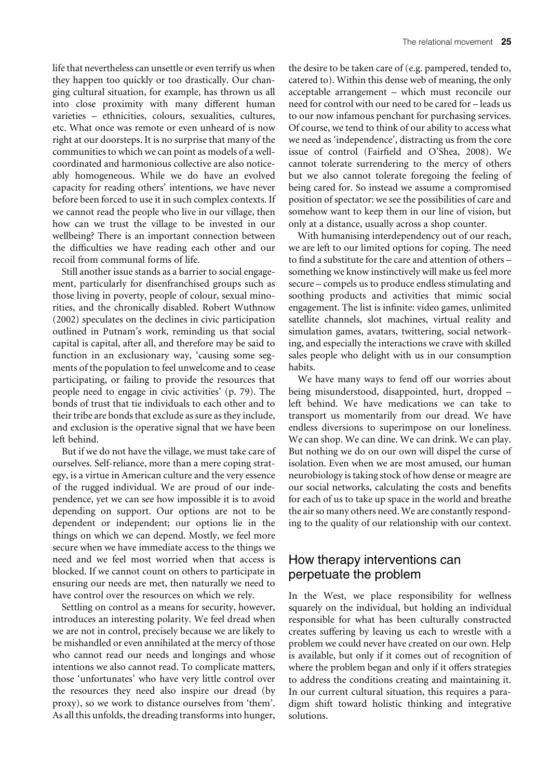life that nevertheless can unsettle or even terrify us when they happen too quickly or too drastically. Our changing cultural situation, for example, has thrown us all into close proximity with many different human varieties – ethnicities, colours, sexualities, cultures, etc. What once was remote or even unheard of is now right at our doorsteps. It is no surprise that many of the communities to which we can point as models of a wellcoordinated and harmonious collective are also noticeably homogeneous. While we do have an evolved capacity for reading others' intentions, we have never before been forced to use it in such complex contexts. If we cannot read the people who live in our village, then how can we trust the village to be invested in our wellbeing? There is an important connection between the difficulties we have reading each other and our recoil from communal forms of life.

Still another issue stands as a barrier to social engagement, particularly for disenfranchised groups such as those living in poverty, people of colour, sexual minorities, and the chronically disabled. Robert Wuthnow (2002) speculates on the declines in civic participation outlined in Putnam's work, reminding us that social capital is capital, after all, and therefore may be said to function in an exclusionary way, 'causing some segments of the population to feel unwelcome and to cease participating, or failing to provide the resources that people need to engage in civic activities' (p. 79). The bonds of trust that tie individuals to each other and to their tribe are bonds that exclude as sure as they include, and exclusion is the operative signal that we have been left behind.

But if we do not have the village, we must take care of ourselves. Self-reliance, more than a mere coping strategy, is a virtue in American culture and the very essence of the rugged individual. We are proud of our independence, yet we can see how impossible it is to avoid depending on support. Our options are not to be dependent or independent; our options lie in the things on which we can depend. Mostly, we feel more secure when we have immediate access to the things we need and we feel most worried when that access is blocked. If we cannot count on others to participate in ensuring our needs are met, then naturally we need to have control over the resources on which we rely.

Settling on control as a means for security, however, introduces an interesting polarity. We feel dread when we are not in control, precisely because we are likely to be mishandled or even annihilated at the mercy of those who cannot read our needs and longings and whose intentions we also cannot read. To complicate matters, those 'unfortunates' who have very little control over the resources they need also inspire our dread (by proxy), so we work to distance ourselves from 'them'. As all this unfolds, the dreading transforms into hunger, the desire to be taken care of (e.g. pampered, tended to, catered to). Within this dense web of meaning, the only acceptable arrangement – which must reconcile our need for control with our need to be cared for – leads us to our now infamous penchant for purchasing services. Of course, we tend to think of our ability to access what we need as 'independence', distracting us from the core issue of control (Fairfield and O'Shea, 2008). We cannot tolerate surrendering to the mercy of others but we also cannot tolerate foregoing the feeling of being cared for. So instead we assume a compromised position of spectator: we see the possibilities of care and somehow want to keep them in our line of vision, but only at a distance, usually across a shop counter.

With humanising interdependency out of our reach, we are left to our limited options for coping. The need to find a substitute for the care and attention of others – something we know instinctively will make us feel more secure – compels us to produce endless stimulating and soothing products and activities that mimic social engagement. The list is infinite: video games, unlimited satellite channels, slot machines, virtual reality and simulation games, avatars, twittering, social networking, and especially the interactions we crave with skilled sales people who delight with us in our consumption habits.

We have many ways to fend off our worries about being misunderstood, disappointed, hurt, dropped – left behind. We have medications we can take to transport us momentarily from our dread. We have endless diversions to superimpose on our loneliness. We can shop. We can dine. We can drink. We can play. But nothing we do on our own will dispel the curse of isolation. Even when we are most amused, our human neurobiology is taking stock of how dense or meagre are our social networks, calculating the costs and benefits for each of us to take up space in the world and breathe the air so many others need. We are constantly responding to the quality of our relationship with our context.

# How therapy interventions can perpetuate the problem

In the West, we place responsibility for wellness squarely on the individual, but holding an individual responsible for what has been culturally constructed creates suffering by leaving us each to wrestle with a problem we could never have created on our own. Help is available, but only if it comes out of recognition of where the problem began and only if it offers strategies to address the conditions creating and maintaining it. In our current cultural situation, this requires a paradigm shift toward holistic thinking and integrative solutions.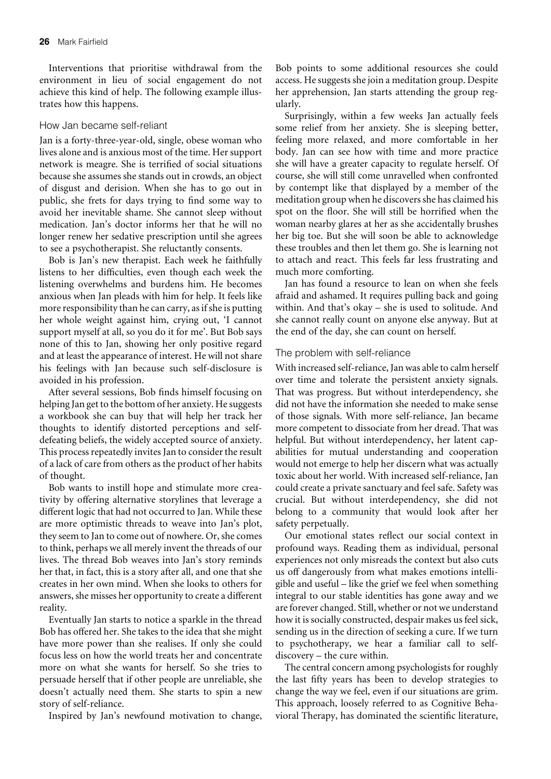Interventions that prioritise withdrawal from the environment in lieu of social engagement do not achieve this kind of help. The following example illustrates how this happens.

#### How Jan became self-reliant

Jan is a forty-three-year-old, single, obese woman who lives alone and is anxious most of the time. Her support network is meagre. She is terrified of social situations because she assumes she stands out in crowds, an object of disgust and derision. When she has to go out in public, she frets for days trying to find some way to avoid her inevitable shame. She cannot sleep without medication. Jan's doctor informs her that he will no longer renew her sedative prescription until she agrees to see a psychotherapist. She reluctantly consents.

Bob is Jan's new therapist. Each week he faithfully listens to her difficulties, even though each week the listening overwhelms and burdens him. He becomes anxious when Jan pleads with him for help. It feels like more responsibility than he can carry, as if she is putting her whole weight against him, crying out, 'I cannot support myself at all, so you do it for me'. But Bob says none of this to Jan, showing her only positive regard and at least the appearance of interest. He will not share his feelings with Jan because such self-disclosure is avoided in his profession.

After several sessions, Bob finds himself focusing on helping Jan get to the bottom of her anxiety. He suggests a workbook she can buy that will help her track her thoughts to identify distorted perceptions and selfdefeating beliefs, the widely accepted source of anxiety. This process repeatedly invites Jan to consider the result of a lack of care from others as the product of her habits of thought.

Bob wants to instill hope and stimulate more creativity by offering alternative storylines that leverage a different logic that had not occurred to Jan. While these are more optimistic threads to weave into Jan's plot, they seem to Jan to come out of nowhere. Or, she comes to think, perhaps we all merely invent the threads of our lives. The thread Bob weaves into Jan's story reminds her that, in fact, this is a story after all, and one that she creates in her own mind. When she looks to others for answers, she misses her opportunity to create a different reality.

Eventually Jan starts to notice a sparkle in the thread Bob has offered her. She takes to the idea that she might have more power than she realises. If only she could focus less on how the world treats her and concentrate more on what she wants for herself. So she tries to persuade herself that if other people are unreliable, she doesn't actually need them. She starts to spin a new story of self-reliance.

Inspired by Jan's newfound motivation to change,

Bob points to some additional resources she could access. He suggests she join a meditation group. Despite her apprehension, Jan starts attending the group regularly.

Surprisingly, within a few weeks Jan actually feels some relief from her anxiety. She is sleeping better, feeling more relaxed, and more comfortable in her body. Jan can see how with time and more practice she will have a greater capacity to regulate herself. Of course, she will still come unravelled when confronted by contempt like that displayed by a member of the meditation group when he discovers she has claimed his spot on the floor. She will still be horrified when the woman nearby glares at her as she accidentally brushes her big toe. But she will soon be able to acknowledge these troubles and then let them go. She is learning not to attach and react. This feels far less frustrating and much more comforting.

Jan has found a resource to lean on when she feels afraid and ashamed. It requires pulling back and going within. And that's okay – she is used to solitude. And she cannot really count on anyone else anyway. But at the end of the day, she can count on herself.

#### The problem with self-reliance

With increased self-reliance, Jan was able to calm herself over time and tolerate the persistent anxiety signals. That was progress. But without interdependency, she did not have the information she needed to make sense of those signals. With more self-reliance, Jan became more competent to dissociate from her dread. That was helpful. But without interdependency, her latent capabilities for mutual understanding and cooperation would not emerge to help her discern what was actually toxic about her world. With increased self-reliance, Jan could create a private sanctuary and feel safe. Safety was crucial. But without interdependency, she did not belong to a community that would look after her safety perpetually.

Our emotional states reflect our social context in profound ways. Reading them as individual, personal experiences not only misreads the context but also cuts us off dangerously from what makes emotions intelligible and useful – like the grief we feel when something integral to our stable identities has gone away and we are forever changed. Still, whether or not we understand how it is socially constructed, despair makes us feel sick, sending us in the direction of seeking a cure. If we turn to psychotherapy, we hear a familiar call to selfdiscovery – the cure within.

The central concern among psychologists for roughly the last fifty years has been to develop strategies to change the way we feel, even if our situations are grim. This approach, loosely referred to as Cognitive Behavioral Therapy, has dominated the scientific literature,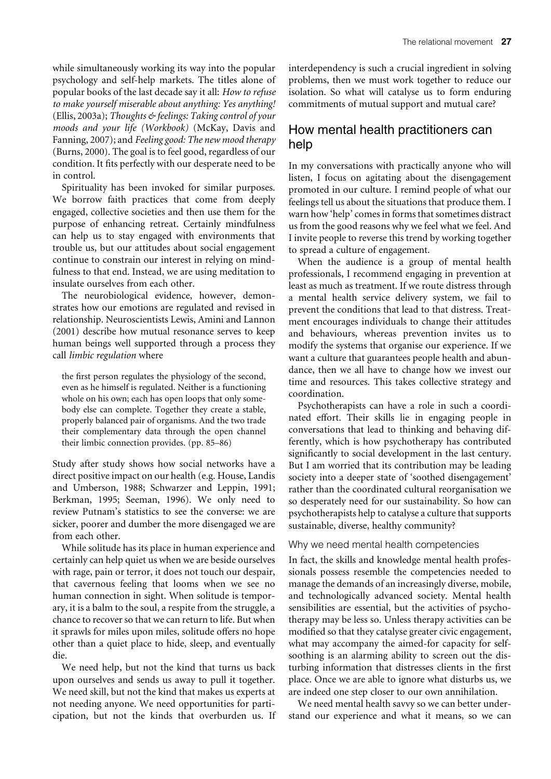while simultaneously working its way into the popular psychology and self-help markets. The titles alone of popular books of the last decade say it all: *How to refuse to make yourself miserable about anything: Yes anything!* (Ellis, 2003a); *Thoughts & feelings: Taking control of your moods and your life (Workbook)* (McKay, Davis and Fanning, 2007); and *Feeling good: The new mood therapy* (Burns, 2000). The goal is to feel good, regardless of our condition. It fits perfectly with our desperate need to be in control.

Spirituality has been invoked for similar purposes. We borrow faith practices that come from deeply engaged, collective societies and then use them for the purpose of enhancing retreat. Certainly mindfulness can help us to stay engaged with environments that trouble us, but our attitudes about social engagement continue to constrain our interest in relying on mindfulness to that end. Instead, we are using meditation to insulate ourselves from each other.

The neurobiological evidence, however, demonstrates how our emotions are regulated and revised in relationship. Neuroscientists Lewis, Amini and Lannon (2001) describe how mutual resonance serves to keep human beings well supported through a process they call *limbic regulation* where

the first person regulates the physiology of the second, even as he himself is regulated. Neither is a functioning whole on his own; each has open loops that only somebody else can complete. Together they create a stable, properly balanced pair of organisms. And the two trade their complementary data through the open channel their limbic connection provides. (pp. 85–86)

Study after study shows how social networks have a direct positive impact on our health (e.g. House, Landis and Umberson, 1988; Schwarzer and Leppin, 1991; Berkman, 1995; Seeman, 1996). We only need to review Putnam's statistics to see the converse: we are sicker, poorer and dumber the more disengaged we are from each other.

While solitude has its place in human experience and certainly can help quiet us when we are beside ourselves with rage, pain or terror, it does not touch our despair, that cavernous feeling that looms when we see no human connection in sight. When solitude is temporary, it is a balm to the soul, a respite from the struggle, a chance to recover so that we can return to life. But when it sprawls for miles upon miles, solitude offers no hope other than a quiet place to hide, sleep, and eventually die.

We need help, but not the kind that turns us back upon ourselves and sends us away to pull it together. We need skill, but not the kind that makes us experts at not needing anyone. We need opportunities for participation, but not the kinds that overburden us. If interdependency is such a crucial ingredient in solving problems, then we must work together to reduce our isolation. So what will catalyse us to form enduring commitments of mutual support and mutual care?

## How mental health practitioners can help

In my conversations with practically anyone who will listen, I focus on agitating about the disengagement promoted in our culture. I remind people of what our feelings tell us about the situations that produce them. I warn how 'help' comes in forms that sometimes distract us from the good reasons why we feel what we feel. And I invite people to reverse this trend by working together to spread a culture of engagement.

When the audience is a group of mental health professionals, I recommend engaging in prevention at least as much as treatment. If we route distress through a mental health service delivery system, we fail to prevent the conditions that lead to that distress. Treatment encourages individuals to change their attitudes and behaviours, whereas prevention invites us to modify the systems that organise our experience. If we want a culture that guarantees people health and abundance, then we all have to change how we invest our time and resources. This takes collective strategy and coordination.

Psychotherapists can have a role in such a coordinated effort. Their skills lie in engaging people in conversations that lead to thinking and behaving differently, which is how psychotherapy has contributed significantly to social development in the last century. But I am worried that its contribution may be leading society into a deeper state of 'soothed disengagement' rather than the coordinated cultural reorganisation we so desperately need for our sustainability. So how can psychotherapists help to catalyse a culture that supports sustainable, diverse, healthy community?

#### Why we need mental health competencies

In fact, the skills and knowledge mental health professionals possess resemble the competencies needed to manage the demands of an increasingly diverse, mobile, and technologically advanced society. Mental health sensibilities are essential, but the activities of psychotherapy may be less so. Unless therapy activities can be modified so that they catalyse greater civic engagement, what may accompany the aimed-for capacity for selfsoothing is an alarming ability to screen out the disturbing information that distresses clients in the first place. Once we are able to ignore what disturbs us, we are indeed one step closer to our own annihilation.

We need mental health savvy so we can better understand our experience and what it means, so we can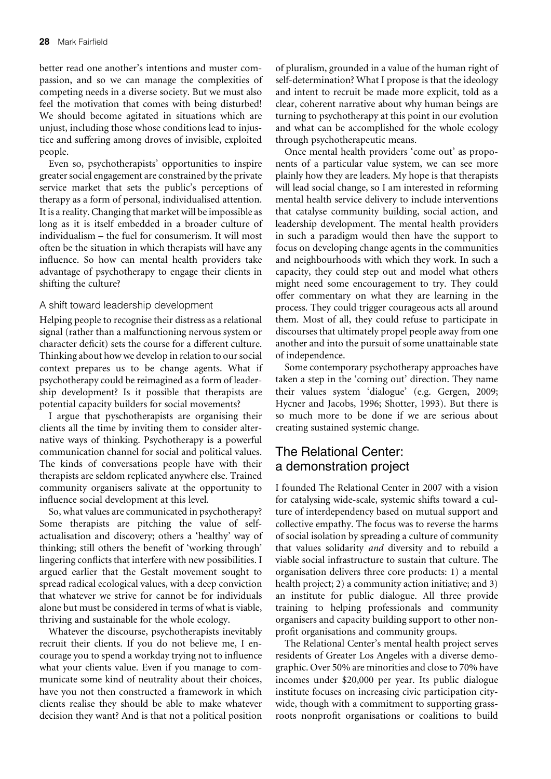better read one another's intentions and muster compassion, and so we can manage the complexities of competing needs in a diverse society. But we must also feel the motivation that comes with being disturbed! We should become agitated in situations which are unjust, including those whose conditions lead to injustice and suffering among droves of invisible, exploited people.

Even so, psychotherapists' opportunities to inspire greater social engagement are constrained by the private service market that sets the public's perceptions of therapy as a form of personal, individualised attention. It is a reality. Changing that market will be impossible as long as it is itself embedded in a broader culture of individualism – the fuel for consumerism. It will most often be the situation in which therapists will have any influence. So how can mental health providers take advantage of psychotherapy to engage their clients in shifting the culture?

### A shift toward leadership development

Helping people to recognise their distress as a relational signal (rather than a malfunctioning nervous system or character deficit) sets the course for a different culture. Thinking about how we develop in relation to our social context prepares us to be change agents. What if psychotherapy could be reimagined as a form of leadership development? Is it possible that therapists are potential capacity builders for social movements?

I argue that pyschotherapists are organising their clients all the time by inviting them to consider alternative ways of thinking. Psychotherapy is a powerful communication channel for social and political values. The kinds of conversations people have with their therapists are seldom replicated anywhere else. Trained community organisers salivate at the opportunity to influence social development at this level.

So, what values are communicated in psychotherapy? Some therapists are pitching the value of selfactualisation and discovery; others a 'healthy' way of thinking; still others the benefit of 'working through' lingering conflicts that interfere with new possibilities. I argued earlier that the Gestalt movement sought to spread radical ecological values, with a deep conviction that whatever we strive for cannot be for individuals alone but must be considered in terms of what is viable, thriving and sustainable for the whole ecology.

Whatever the discourse, psychotherapists inevitably recruit their clients. If you do not believe me, I encourage you to spend a workday trying not to influence what your clients value. Even if you manage to communicate some kind of neutrality about their choices, have you not then constructed a framework in which clients realise they should be able to make whatever decision they want? And is that not a political position of pluralism, grounded in a value of the human right of self-determination? What I propose is that the ideology and intent to recruit be made more explicit, told as a clear, coherent narrative about why human beings are turning to psychotherapy at this point in our evolution and what can be accomplished for the whole ecology through psychotherapeutic means.

Once mental health providers 'come out' as proponents of a particular value system, we can see more plainly how they are leaders. My hope is that therapists will lead social change, so I am interested in reforming mental health service delivery to include interventions that catalyse community building, social action, and leadership development. The mental health providers in such a paradigm would then have the support to focus on developing change agents in the communities and neighbourhoods with which they work. In such a capacity, they could step out and model what others might need some encouragement to try. They could offer commentary on what they are learning in the process. They could trigger courageous acts all around them. Most of all, they could refuse to participate in discourses that ultimately propel people away from one another and into the pursuit of some unattainable state of independence.

Some contemporary psychotherapy approaches have taken a step in the 'coming out' direction. They name their values system 'dialogue' (e.g. Gergen, 2009; Hycner and Jacobs, 1996; Shotter, 1993). But there is so much more to be done if we are serious about creating sustained systemic change.

# The Relational Center: a demonstration project

I founded The Relational Center in 2007 with a vision for catalysing wide-scale, systemic shifts toward a culture of interdependency based on mutual support and collective empathy. The focus was to reverse the harms of social isolation by spreading a culture of community that values solidarity *and* diversity and to rebuild a viable social infrastructure to sustain that culture. The organisation delivers three core products: 1) a mental health project; 2) a community action initiative; and 3) an institute for public dialogue. All three provide training to helping professionals and community organisers and capacity building support to other nonprofit organisations and community groups.

The Relational Center's mental health project serves residents of Greater Los Angeles with a diverse demographic. Over 50% are minorities and close to 70% have incomes under \$20,000 per year. Its public dialogue institute focuses on increasing civic participation citywide, though with a commitment to supporting grassroots nonprofit organisations or coalitions to build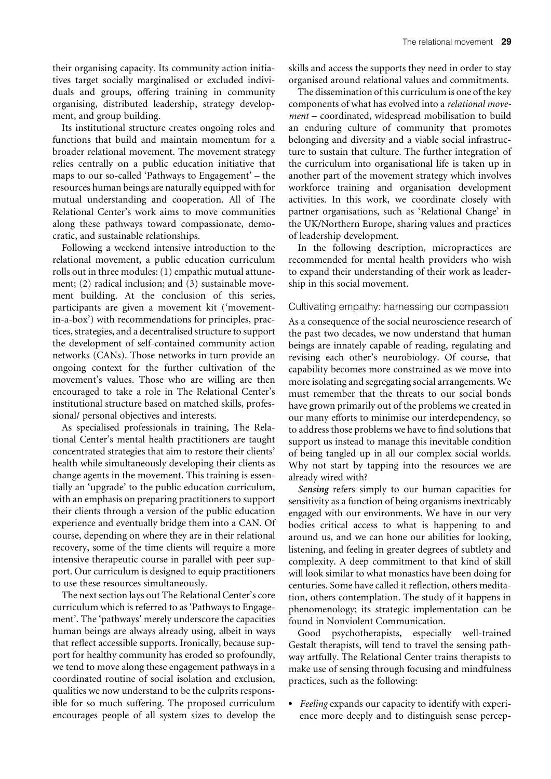their organising capacity. Its community action initiatives target socially marginalised or excluded individuals and groups, offering training in community organising, distributed leadership, strategy development, and group building.

Its institutional structure creates ongoing roles and functions that build and maintain momentum for a broader relational movement. The movement strategy relies centrally on a public education initiative that maps to our so-called 'Pathways to Engagement' – the resources human beings are naturally equipped with for mutual understanding and cooperation. All of The Relational Center's work aims to move communities along these pathways toward compassionate, democratic, and sustainable relationships.

Following a weekend intensive introduction to the relational movement, a public education curriculum rolls out in three modules: (1) empathic mutual attunement; (2) radical inclusion; and (3) sustainable movement building. At the conclusion of this series, participants are given a movement kit ('movementin-a-box') with recommendations for principles, practices, strategies, and a decentralised structure to support the development of self-contained community action networks (CANs). Those networks in turn provide an ongoing context for the further cultivation of the movement's values. Those who are willing are then encouraged to take a role in The Relational Center's institutional structure based on matched skills, professional/ personal objectives and interests.

As specialised professionals in training, The Relational Center's mental health practitioners are taught concentrated strategies that aim to restore their clients' health while simultaneously developing their clients as change agents in the movement. This training is essentially an 'upgrade' to the public education curriculum, with an emphasis on preparing practitioners to support their clients through a version of the public education experience and eventually bridge them into a CAN. Of course, depending on where they are in their relational recovery, some of the time clients will require a more intensive therapeutic course in parallel with peer support. Our curriculum is designed to equip practitioners to use these resources simultaneously.

The next section lays out The Relational Center's core curriculum which is referred to as 'Pathways to Engagement'. The 'pathways' merely underscore the capacities human beings are always already using*,* albeit in ways that reflect accessible supports. Ironically, because support for healthy community has eroded so profoundly, we tend to move along these engagement pathways in a coordinated routine of social isolation and exclusion, qualities we now understand to be the culprits responsible for so much suffering. The proposed curriculum encourages people of all system sizes to develop the skills and access the supports they need in order to stay organised around relational values and commitments.

The dissemination of this curriculum is one of the key components of what has evolved into a *relational movement* – coordinated, widespread mobilisation to build an enduring culture of community that promotes belonging and diversity and a viable social infrastructure to sustain that culture. The further integration of the curriculum into organisational life is taken up in another part of the movement strategy which involves workforce training and organisation development activities. In this work, we coordinate closely with partner organisations, such as 'Relational Change' in the UK/Northern Europe, sharing values and practices of leadership development.

In the following description, micropractices are recommended for mental health providers who wish to expand their understanding of their work as leadership in this social movement.

#### Cultivating empathy: harnessing our compassion

As a consequence of the social neuroscience research of the past two decades, we now understand that human beings are innately capable of reading, regulating and revising each other's neurobiology. Of course, that capability becomes more constrained as we move into more isolating and segregating social arrangements. We must remember that the threats to our social bonds have grown primarily out of the problems we created in our many efforts to minimise our interdependency, so to address those problems we have to find solutions that support us instead to manage this inevitable condition of being tangled up in all our complex social worlds. Why not start by tapping into the resources we are already wired with?

*Sensing* refers simply to our human capacities for sensitivity as a function of being organisms inextricably engaged with our environments. We have in our very bodies critical access to what is happening to and around us, and we can hone our abilities for looking, listening, and feeling in greater degrees of subtlety and complexity. A deep commitment to that kind of skill will look similar to what monastics have been doing for centuries. Some have called it reflection, others meditation, others contemplation. The study of it happens in phenomenology; its strategic implementation can be found in Nonviolent Communication.

Good psychotherapists, especially well-trained Gestalt therapists, will tend to travel the sensing pathway artfully. The Relational Center trains therapists to make use of sensing through focusing and mindfulness practices, such as the following:

. *Feeling* expands our capacity to identify with experience more deeply and to distinguish sense percep-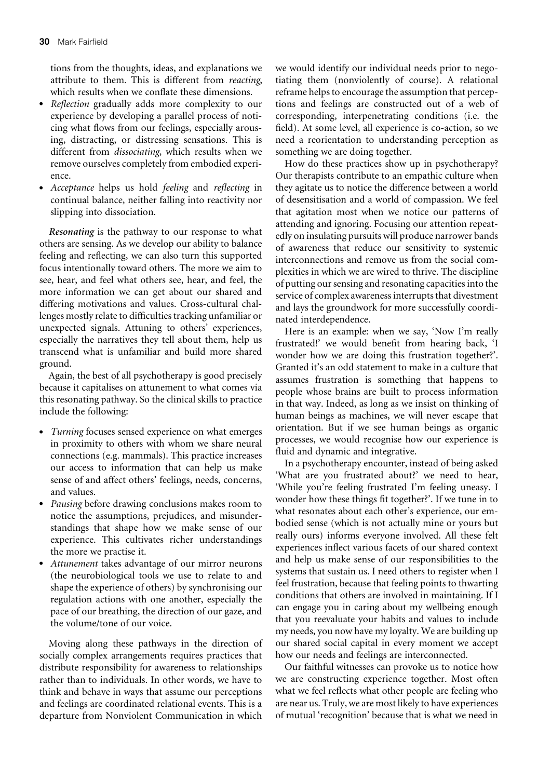tions from the thoughts, ideas, and explanations we attribute to them. This is different from *reacting*, which results when we conflate these dimensions.

- . *Reflection* gradually adds more complexity to our experience by developing a parallel process of noticing what flows from our feelings, especially arousing, distracting, or distressing sensations. This is different from *dissociating*, which results when we remove ourselves completely from embodied experience.
- . *Acceptance* helps us hold *feeling* and *reflecting* in continual balance, neither falling into reactivity nor slipping into dissociation.

*Resonating* is the pathway to our response to what others are sensing. As we develop our ability to balance feeling and reflecting, we can also turn this supported focus intentionally toward others. The more we aim to see, hear, and feel what others see, hear, and feel, the more information we can get about our shared and differing motivations and values. Cross-cultural challenges mostly relate to difficulties tracking unfamiliar or unexpected signals. Attuning to others' experiences, especially the narratives they tell about them, help us transcend what is unfamiliar and build more shared ground.

Again, the best of all psychotherapy is good precisely because it capitalises on attunement to what comes via this resonating pathway. So the clinical skills to practice include the following:

- . *Turning* focuses sensed experience on what emerges in proximity to others with whom we share neural connections (e.g. mammals). This practice increases our access to information that can help us make sense of and affect others' feelings, needs, concerns, and values.
- . *Pausing* before drawing conclusions makes room to notice the assumptions, prejudices, and misunderstandings that shape how we make sense of our experience. This cultivates richer understandings the more we practise it.
- . *Attunement* takes advantage of our mirror neurons (the neurobiological tools we use to relate to and shape the experience of others) by synchronising our regulation actions with one another, especially the pace of our breathing, the direction of our gaze, and the volume/tone of our voice.

Moving along these pathways in the direction of socially complex arrangements requires practices that distribute responsibility for awareness to relationships rather than to individuals. In other words, we have to think and behave in ways that assume our perceptions and feelings are coordinated relational events. This is a departure from Nonviolent Communication in which

we would identify our individual needs prior to negotiating them (nonviolently of course). A relational reframe helps to encourage the assumption that perceptions and feelings are constructed out of a web of corresponding, interpenetrating conditions (i.e. the field). At some level, all experience is co-action, so we need a reorientation to understanding perception as something we are doing together.

How do these practices show up in psychotherapy? Our therapists contribute to an empathic culture when they agitate us to notice the difference between a world of desensitisation and a world of compassion. We feel that agitation most when we notice our patterns of attending and ignoring. Focusing our attention repeatedly on insulating pursuits will produce narrower bands of awareness that reduce our sensitivity to systemic interconnections and remove us from the social complexities in which we are wired to thrive. The discipline of putting our sensing and resonating capacities into the service of complex awareness interrupts that divestment and lays the groundwork for more successfully coordinated interdependence.

Here is an example: when we say, 'Now I'm really frustrated!' we would benefit from hearing back, 'I wonder how we are doing this frustration together?'. Granted it's an odd statement to make in a culture that assumes frustration is something that happens to people whose brains are built to process information in that way. Indeed, as long as we insist on thinking of human beings as machines, we will never escape that orientation. But if we see human beings as organic processes, we would recognise how our experience is fluid and dynamic and integrative.

In a psychotherapy encounter, instead of being asked 'What are you frustrated about?' we need to hear, 'While you're feeling frustrated I'm feeling uneasy. I wonder how these things fit together?'. If we tune in to what resonates about each other's experience, our embodied sense (which is not actually mine or yours but really ours) informs everyone involved. All these felt experiences inflect various facets of our shared context and help us make sense of our responsibilities to the systems that sustain us. I need others to register when I feel frustration, because that feeling points to thwarting conditions that others are involved in maintaining. If I can engage you in caring about my wellbeing enough that you reevaluate your habits and values to include my needs, you now have my loyalty. We are building up our shared social capital in every moment we accept how our needs and feelings are interconnected.

Our faithful witnesses can provoke us to notice how we are constructing experience together. Most often what we feel reflects what other people are feeling who are near us. Truly, we are most likely to have experiences of mutual 'recognition' because that is what we need in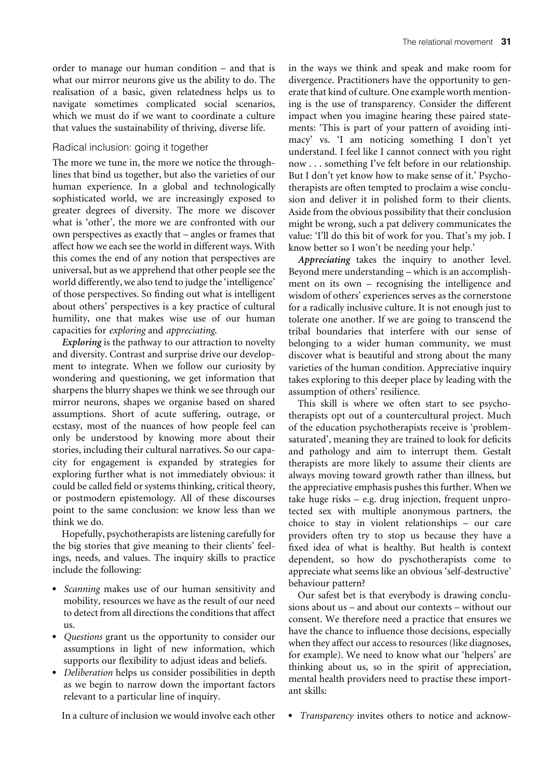order to manage our human condition – and that is what our mirror neurons give us the ability to do. The realisation of a basic, given relatedness helps us to navigate sometimes complicated social scenarios, which we must do if we want to coordinate a culture that values the sustainability of thriving, diverse life.

#### Radical inclusion: going it together

The more we tune in, the more we notice the throughlines that bind us together, but also the varieties of our human experience. In a global and technologically sophisticated world, we are increasingly exposed to greater degrees of diversity. The more we discover what is 'other', the more we are confronted with our own perspectives as exactly that – angles or frames that affect how we each see the world in different ways. With this comes the end of any notion that perspectives are universal, but as we apprehend that other people see the world differently, we also tend to judge the 'intelligence' of those perspectives. So finding out what is intelligent about others' perspectives is a key practice of cultural humility, one that makes wise use of our human capacities for *exploring* and *appreciating*.

*Exploring* is the pathway to our attraction to novelty and diversity. Contrast and surprise drive our development to integrate. When we follow our curiosity by wondering and questioning, we get information that sharpens the blurry shapes we think we see through our mirror neurons, shapes we organise based on shared assumptions. Short of acute suffering, outrage, or ecstasy, most of the nuances of how people feel can only be understood by knowing more about their stories, including their cultural narratives. So our capacity for engagement is expanded by strategies for exploring further what is not immediately obvious: it could be called field or systems thinking, critical theory, or postmodern epistemology. All of these discourses point to the same conclusion: we know less than we think we do.

Hopefully, psychotherapists are listening carefully for the big stories that give meaning to their clients' feelings, needs, and values. The inquiry skills to practice include the following:

- . *Scanning* makes use of our human sensitivity and mobility, resources we have as the result of our need to detect from all directions the conditions that affect us.
- . *Questions* grant us the opportunity to consider our assumptions in light of new information, which supports our flexibility to adjust ideas and beliefs.
- . *Deliberation* helps us consider possibilities in depth as we begin to narrow down the important factors relevant to a particular line of inquiry.

In a culture of inclusion we would involve each other

in the ways we think and speak and make room for divergence. Practitioners have the opportunity to generate that kind of culture. One example worth mentioning is the use of transparency. Consider the different impact when you imagine hearing these paired statements: 'This is part of your pattern of avoiding intimacy' vs. 'I am noticing something I don't yet understand. I feel like I cannot connect with you right now . . . something I've felt before in our relationship. But I don't yet know how to make sense of it.' Psychotherapists are often tempted to proclaim a wise conclusion and deliver it in polished form to their clients. Aside from the obvious possibility that their conclusion might be wrong, such a pat delivery communicates the value: 'I'll do this bit of work for you. That's my job. I know better so I won't be needing your help.'

*Appreciating* takes the inquiry to another level. Beyond mere understanding – which is an accomplishment on its own – recognising the intelligence and wisdom of others' experiences serves as the cornerstone for a radically inclusive culture. It is not enough just to tolerate one another. If we are going to transcend the tribal boundaries that interfere with our sense of belonging to a wider human community, we must discover what is beautiful and strong about the many varieties of the human condition. Appreciative inquiry takes exploring to this deeper place by leading with the assumption of others' resilience.

This skill is where we often start to see psychotherapists opt out of a countercultural project. Much of the education psychotherapists receive is 'problemsaturated', meaning they are trained to look for deficits and pathology and aim to interrupt them. Gestalt therapists are more likely to assume their clients are always moving toward growth rather than illness, but the appreciative emphasis pushes this further. When we take huge risks – e.g. drug injection, frequent unprotected sex with multiple anonymous partners, the choice to stay in violent relationships – our care providers often try to stop us because they have a fixed idea of what is healthy. But health is context dependent, so how do pyschotherapists come to appreciate what seems like an obvious 'self-destructive' behaviour pattern?

Our safest bet is that everybody is drawing conclusions about us – and about our contexts – without our consent. We therefore need a practice that ensures we have the chance to influence those decisions, especially when they affect our access to resources (like diagnoses, for example). We need to know what our 'helpers' are thinking about us, so in the spirit of appreciation, mental health providers need to practise these important skills:

. *Transparency* invites others to notice and acknow-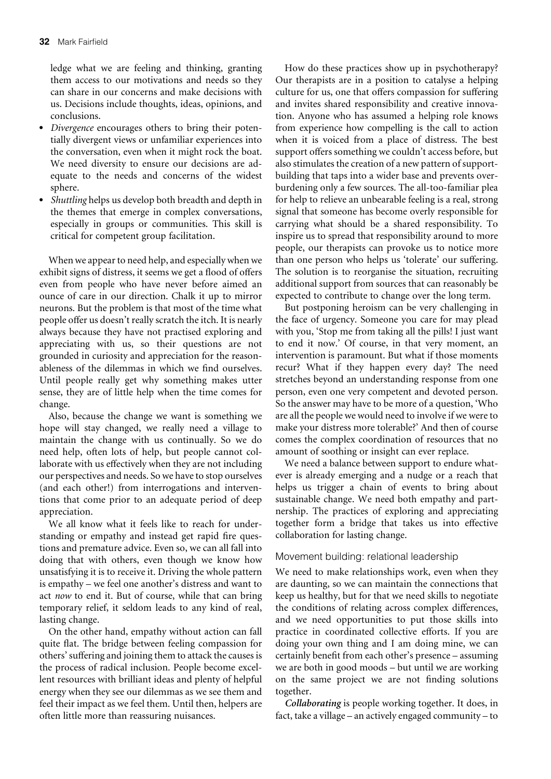ledge what we are feeling and thinking, granting them access to our motivations and needs so they can share in our concerns and make decisions with us. Decisions include thoughts, ideas, opinions, and conclusions.

- . *Divergence* encourages others to bring their potentially divergent views or unfamiliar experiences into the conversation, even when it might rock the boat. We need diversity to ensure our decisions are adequate to the needs and concerns of the widest sphere.
- . *Shuttling* helps us develop both breadth and depth in the themes that emerge in complex conversations, especially in groups or communities. This skill is critical for competent group facilitation.

When we appear to need help, and especially when we exhibit signs of distress, it seems we get a flood of offers even from people who have never before aimed an ounce of care in our direction. Chalk it up to mirror neurons. But the problem is that most of the time what people offer us doesn't really scratch the itch. It is nearly always because they have not practised exploring and appreciating with us, so their questions are not grounded in curiosity and appreciation for the reasonableness of the dilemmas in which we find ourselves. Until people really get why something makes utter sense, they are of little help when the time comes for change.

Also, because the change we want is something we hope will stay changed, we really need a village to maintain the change with us continually. So we do need help, often lots of help, but people cannot collaborate with us effectively when they are not including our perspectives and needs. So we have to stop ourselves (and each other!) from interrogations and interventions that come prior to an adequate period of deep appreciation.

We all know what it feels like to reach for understanding or empathy and instead get rapid fire questions and premature advice. Even so, we can all fall into doing that with others, even though we know how unsatisfying it is to receive it. Driving the whole pattern is empathy – we feel one another's distress and want to act *now* to end it. But of course, while that can bring temporary relief, it seldom leads to any kind of real, lasting change.

On the other hand, empathy without action can fall quite flat. The bridge between feeling compassion for others' suffering and joining them to attack the causes is the process of radical inclusion. People become excellent resources with brilliant ideas and plenty of helpful energy when they see our dilemmas as we see them and feel their impact as we feel them. Until then, helpers are often little more than reassuring nuisances.

How do these practices show up in psychotherapy? Our therapists are in a position to catalyse a helping culture for us, one that offers compassion for suffering and invites shared responsibility and creative innovation. Anyone who has assumed a helping role knows from experience how compelling is the call to action when it is voiced from a place of distress. The best support offers something we couldn't access before, but also stimulates the creation of a new pattern of supportbuilding that taps into a wider base and prevents overburdening only a few sources. The all-too-familiar plea for help to relieve an unbearable feeling is a real, strong signal that someone has become overly responsible for carrying what should be a shared responsibility. To inspire us to spread that responsibility around to more people, our therapists can provoke us to notice more than one person who helps us 'tolerate' our suffering. The solution is to reorganise the situation, recruiting additional support from sources that can reasonably be expected to contribute to change over the long term.

But postponing heroism can be very challenging in the face of urgency. Someone you care for may plead with you, 'Stop me from taking all the pills! I just want to end it now.' Of course, in that very moment, an intervention is paramount. But what if those moments recur? What if they happen every day? The need stretches beyond an understanding response from one person, even one very competent and devoted person. So the answer may have to be more of a question, 'Who are all the people we would need to involve if we were to make your distress more tolerable?' And then of course comes the complex coordination of resources that no amount of soothing or insight can ever replace.

We need a balance between support to endure whatever is already emerging and a nudge or a reach that helps us trigger a chain of events to bring about sustainable change. We need both empathy and partnership. The practices of exploring and appreciating together form a bridge that takes us into effective collaboration for lasting change.

#### Movement building: relational leadership

We need to make relationships work, even when they are daunting, so we can maintain the connections that keep us healthy, but for that we need skills to negotiate the conditions of relating across complex differences, and we need opportunities to put those skills into practice in coordinated collective efforts. If you are doing your own thing and I am doing mine, we can certainly benefit from each other's presence – assuming we are both in good moods – but until we are working on the same project we are not finding solutions together.

*Collaborating* is people working together. It does, in fact, take a village – an actively engaged community – to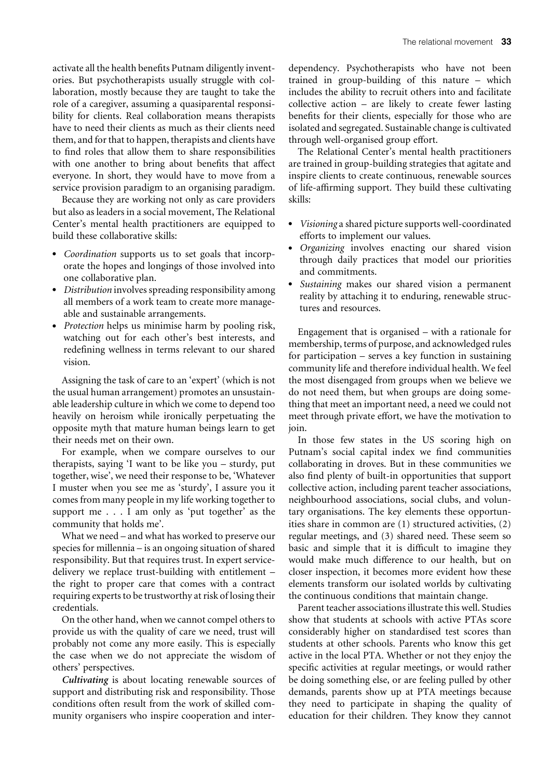activate all the health benefits Putnam diligently inventories. But psychotherapists usually struggle with collaboration, mostly because they are taught to take the role of a caregiver, assuming a quasiparental responsibility for clients. Real collaboration means therapists have to need their clients as much as their clients need them, and for that to happen, therapists and clients have to find roles that allow them to share responsibilities with one another to bring about benefits that affect everyone. In short, they would have to move from a service provision paradigm to an organising paradigm.

Because they are working not only as care providers but also as leaders in a social movement, The Relational Center's mental health practitioners are equipped to build these collaborative skills:

- . *Coordination* supports us to set goals that incorporate the hopes and longings of those involved into one collaborative plan.
- . *Distribution* involves spreading responsibility among all members of a work team to create more manageable and sustainable arrangements.
- . *Protection* helps us minimise harm by pooling risk, watching out for each other's best interests, and redefining wellness in terms relevant to our shared vision.

Assigning the task of care to an 'expert' (which is not the usual human arrangement) promotes an unsustainable leadership culture in which we come to depend too heavily on heroism while ironically perpetuating the opposite myth that mature human beings learn to get their needs met on their own.

For example, when we compare ourselves to our therapists, saying 'I want to be like you – sturdy, put together, wise', we need their response to be, 'Whatever I muster when you see me as 'sturdy', I assure you it comes from many people in my life working together to support me . . . I am only as 'put together' as the community that holds me'.

What we need – and what has worked to preserve our species for millennia – is an ongoing situation of shared responsibility. But that requires trust. In expert servicedelivery we replace trust-building with entitlement – the right to proper care that comes with a contract requiring experts to be trustworthy at risk of losing their credentials.

On the other hand, when we cannot compel others to provide us with the quality of care we need, trust will probably not come any more easily. This is especially the case when we do not appreciate the wisdom of others' perspectives.

*Cultivating* is about locating renewable sources of support and distributing risk and responsibility. Those conditions often result from the work of skilled community organisers who inspire cooperation and interdependency. Psychotherapists who have not been trained in group-building of this nature – which includes the ability to recruit others into and facilitate collective action  $-$  are likely to create fewer lasting benefits for their clients, especially for those who are isolated and segregated. Sustainable change is cultivated through well-organised group effort.

The Relational Center's mental health practitioners are trained in group-building strategies that agitate and inspire clients to create continuous, renewable sources of life-affirming support. They build these cultivating skills:

- . *Visioning* a shared picture supports well-coordinated efforts to implement our values.
- . *Organizing* involves enacting our shared vision through daily practices that model our priorities and commitments.
- . *Sustaining* makes our shared vision a permanent reality by attaching it to enduring, renewable structures and resources.

Engagement that is organised – with a rationale for membership, terms of purpose, and acknowledged rules for participation – serves a key function in sustaining community life and therefore individual health. We feel the most disengaged from groups when we believe we do not need them, but when groups are doing something that meet an important need, a need we could not meet through private effort, we have the motivation to join.

In those few states in the US scoring high on Putnam's social capital index we find communities collaborating in droves. But in these communities we also find plenty of built-in opportunities that support collective action, including parent teacher associations, neighbourhood associations, social clubs, and voluntary organisations. The key elements these opportunities share in common are (1) structured activities, (2) regular meetings, and (3) shared need. These seem so basic and simple that it is difficult to imagine they would make much difference to our health, but on closer inspection, it becomes more evident how these elements transform our isolated worlds by cultivating the continuous conditions that maintain change.

Parent teacher associations illustrate this well. Studies show that students at schools with active PTAs score considerably higher on standardised test scores than students at other schools. Parents who know this get active in the local PTA. Whether or not they enjoy the specific activities at regular meetings, or would rather be doing something else, or are feeling pulled by other demands, parents show up at PTA meetings because they need to participate in shaping the quality of education for their children. They know they cannot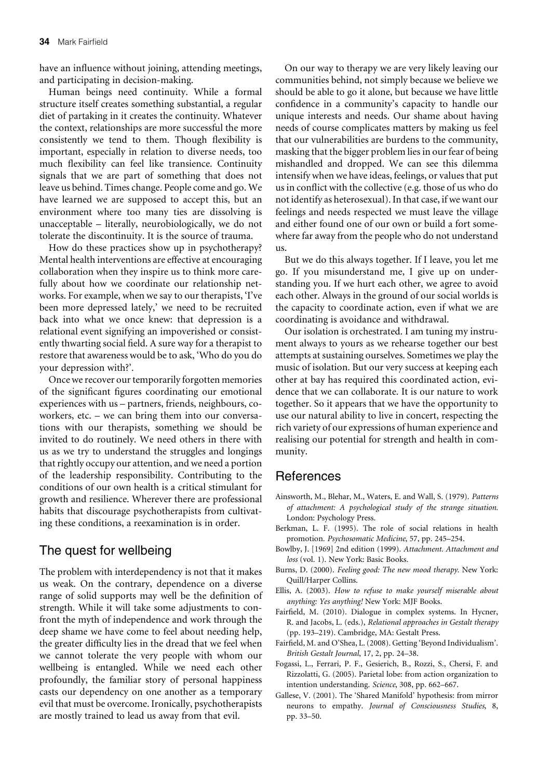have an influence without joining, attending meetings, and participating in decision-making.

Human beings need continuity. While a formal structure itself creates something substantial, a regular diet of partaking in it creates the continuity. Whatever the context, relationships are more successful the more consistently we tend to them. Though flexibility is important, especially in relation to diverse needs, too much flexibility can feel like transience. Continuity signals that we are part of something that does not leave us behind. Times change. People come and go. We have learned we are supposed to accept this, but an environment where too many ties are dissolving is unacceptable – literally, neurobiologically, we do not tolerate the discontinuity. It is the source of trauma.

How do these practices show up in psychotherapy? Mental health interventions are effective at encouraging collaboration when they inspire us to think more carefully about how we coordinate our relationship networks. For example, when we say to our therapists, 'I've been more depressed lately,' we need to be recruited back into what we once knew: that depression is a relational event signifying an impoverished or consistently thwarting social field. A sure way for a therapist to restore that awareness would be to ask, 'Who do you do your depression with?'.

Once we recover our temporarily forgotten memories of the significant figures coordinating our emotional experiences with us – partners, friends, neighbours, coworkers, etc. – we can bring them into our conversations with our therapists, something we should be invited to do routinely. We need others in there with us as we try to understand the struggles and longings that rightly occupy our attention, and we need a portion of the leadership responsibility. Contributing to the conditions of our own health is a critical stimulant for growth and resilience. Wherever there are professional habits that discourage psychotherapists from cultivating these conditions, a reexamination is in order.

## The quest for wellbeing

The problem with interdependency is not that it makes us weak. On the contrary, dependence on a diverse range of solid supports may well be the definition of strength. While it will take some adjustments to confront the myth of independence and work through the deep shame we have come to feel about needing help, the greater difficulty lies in the dread that we feel when we cannot tolerate the very people with whom our wellbeing is entangled. While we need each other profoundly, the familiar story of personal happiness casts our dependency on one another as a temporary evil that must be overcome. Ironically, psychotherapists are mostly trained to lead us away from that evil.

On our way to therapy we are very likely leaving our communities behind, not simply because we believe we should be able to go it alone, but because we have little confidence in a community's capacity to handle our unique interests and needs. Our shame about having needs of course complicates matters by making us feel that our vulnerabilities are burdens to the community, masking that the bigger problem lies in our fear of being mishandled and dropped. We can see this dilemma intensify when we have ideas, feelings, or values that put us in conflict with the collective (e.g. those of us who do not identify as heterosexual). In that case, if we want our feelings and needs respected we must leave the village and either found one of our own or build a fort somewhere far away from the people who do not understand us.

But we do this always together. If I leave, you let me go. If you misunderstand me, I give up on understanding you. If we hurt each other, we agree to avoid each other. Always in the ground of our social worlds is the capacity to coordinate action, even if what we are coordinating is avoidance and withdrawal.

Our isolation is orchestrated. I am tuning my instrument always to yours as we rehearse together our best attempts at sustaining ourselves. Sometimes we play the music of isolation. But our very success at keeping each other at bay has required this coordinated action, evidence that we can collaborate. It is our nature to work together. So it appears that we have the opportunity to use our natural ability to live in concert, respecting the rich variety of our expressions of human experience and realising our potential for strength and health in community.

## References

- Ainsworth, M., Blehar, M., Waters, E. and Wall, S. (1979). *Patterns of attachment: A psychological study of the strange situation.* London: Psychology Press.
- Berkman, L. F. (1995). The role of social relations in health promotion. *Psychosomatic Medicine*, 57, pp. 245–254.
- Bowlby, J. [1969] 2nd edition (1999). *Attachment. Attachment and loss* (vol. 1). New York: Basic Books.
- Burns, D. (2000). *Feeling good: The new mood therapy*. New York: Quill/Harper Collins.
- Ellis, A. (2003). *How to refuse to make yourself miserable about anything: Yes anything!* New York: MJF Books.
- Fairfield, M. (2010). Dialogue in complex systems. In Hycner, R. and Jacobs, L. (eds.), *Relational approaches in Gestalt therapy* (pp. 193–219). Cambridge, MA: Gestalt Press.
- Fairfield, M. and O'Shea, L. (2008). Getting 'Beyond Individualism'. *British Gestalt Journal*, 17, 2, pp. 24–38.
- Fogassi, L., Ferrari, P. F., Gesierich, B., Rozzi, S., Chersi, F. and Rizzolatti, G. (2005). Parietal lobe: from action organization to intention understanding. *Science*, 308, pp. 662–667.
- Gallese, V. (2001). The 'Shared Manifold' hypothesis: from mirror neurons to empathy. *Journal of Consciousness Studies*, 8, pp. 33–50.